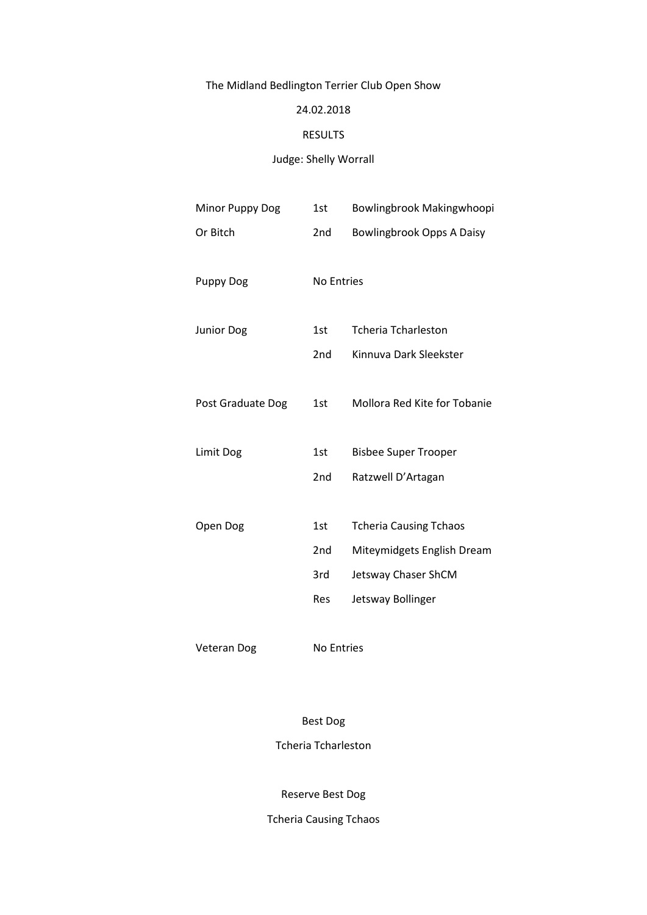# The Midland Bedlington Terrier Club Open Show

### 24.02.2018

#### RESULTS

# Judge: Shelly Worrall

| Minor Puppy Dog   | 1st               | Bowlingbrook Makingwhoopi        |
|-------------------|-------------------|----------------------------------|
| Or Bitch          | 2 <sub>nd</sub>   | <b>Bowlingbrook Opps A Daisy</b> |
|                   |                   |                                  |
| <b>Puppy Dog</b>  | <b>No Entries</b> |                                  |
|                   |                   |                                  |
| <b>Junior Dog</b> | 1st               | <b>Tcheria Tcharleston</b>       |
|                   | 2nd               | Kinnuva Dark Sleekster           |
|                   |                   |                                  |
| Post Graduate Dog | 1st               | Mollora Red Kite for Tobanie     |
|                   |                   |                                  |
| Limit Dog         | 1st               | <b>Bisbee Super Trooper</b>      |
|                   | 2 <sub>nd</sub>   | Ratzwell D'Artagan               |
|                   |                   |                                  |
| Open Dog          | 1st               | <b>Tcheria Causing Tchaos</b>    |
|                   | 2 <sub>nd</sub>   | Miteymidgets English Dream       |
|                   | 3rd               | Jetsway Chaser ShCM              |
|                   | Res               | Jetsway Bollinger                |
|                   |                   |                                  |

Veteran Dog No Entries

Best Dog

Tcheria Tcharleston

Reserve Best Dog

Tcheria Causing Tchaos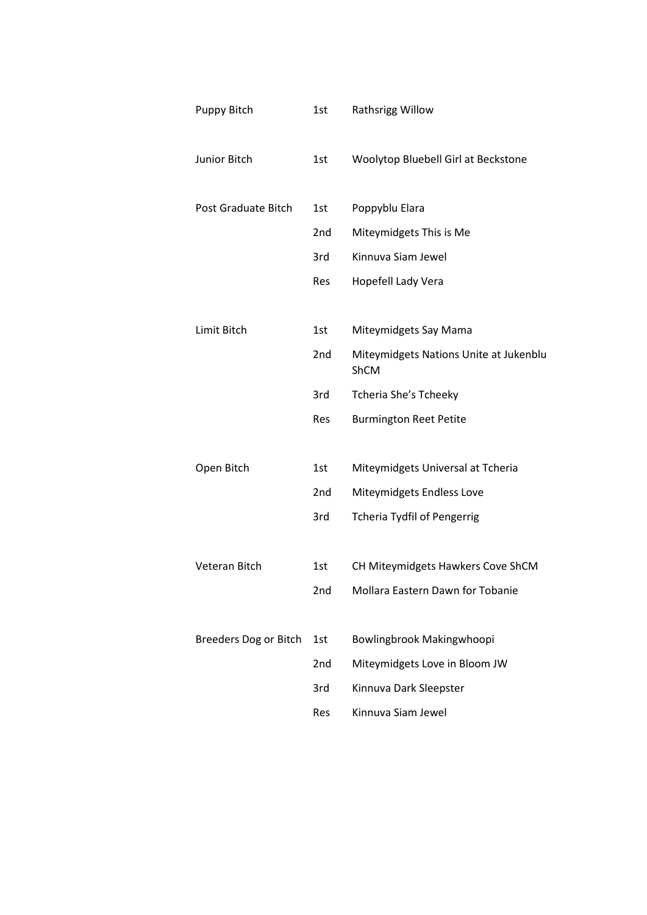| Puppy Bitch           | 1st             | Rathsrigg Willow                               |
|-----------------------|-----------------|------------------------------------------------|
| Junior Bitch          | 1st             | Woolytop Bluebell Girl at Beckstone            |
| Post Graduate Bitch   | 1st             | Poppyblu Elara                                 |
|                       | 2 <sub>nd</sub> | Miteymidgets This is Me                        |
|                       | 3rd             | Kinnuva Siam Jewel                             |
|                       | Res             | Hopefell Lady Vera                             |
|                       |                 |                                                |
| Limit Bitch           | 1st             | Miteymidgets Say Mama                          |
|                       | 2 <sub>nd</sub> | Miteymidgets Nations Unite at Jukenblu<br>ShCM |
|                       | 3rd             | Tcheria She's Tcheeky                          |
|                       | Res             | <b>Burmington Reet Petite</b>                  |
|                       |                 |                                                |
| Open Bitch            | 1st             | Miteymidgets Universal at Tcheria              |
|                       | 2nd             | Miteymidgets Endless Love                      |
|                       | 3rd             | <b>Tcheria Tydfil of Pengerrig</b>             |
| Veteran Bitch         | 1st             | CH Miteymidgets Hawkers Cove ShCM              |
|                       |                 | Mollara Eastern Dawn for Tobanie               |
|                       | 2nd             |                                                |
| Breeders Dog or Bitch | 1st             | Bowlingbrook Makingwhoopi                      |
|                       | 2 <sub>nd</sub> | Miteymidgets Love in Bloom JW                  |
|                       | 3rd             | Kinnuva Dark Sleepster                         |
|                       | Res             | Kinnuva Siam Jewel                             |